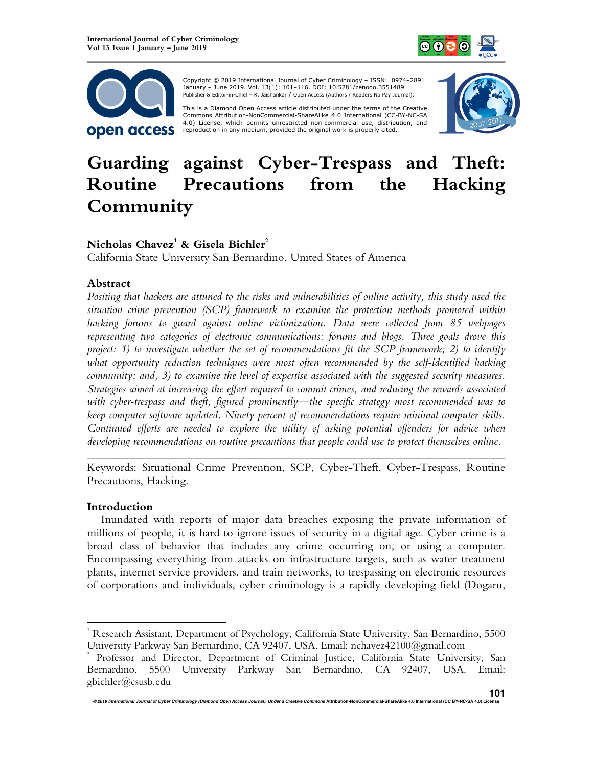



 Copyright © 2019 International Journal of Cyber Criminology – ISSN: 0974–2891 January – June 2019. Vol. 13(1): 101–116. DOI: 10.5281/zenodo.3551489 Publisher & Editor-in-Chief – K. Jaishankar / Open Access (Authors / Readers No Pay Journal).

This is a Diamond Open Access article distributed under the terms of the Creative Commons HTUAttribution-NonCommercial-ShareAlike 4.0 International (CC-BY-NC-SA 4.0) License, which permits unrestricted non-commercial use, distribution, and reproduction in any medium, provided the original work is properly cited.



# **Guarding against Cyber-Trespass and Theft: Routine Precautions from the Hacking Community**

# **Nicholas Chavez<sup>1</sup> & Gisela Bichler<sup>2</sup>**

California State University San Bernardino, United States of America

## **Abstract**

*Positing that hackers are attuned to the risks and vulnerabilities of online activity, this study used the situation crime prevention (SCP) framework to examine the protection methods promoted within hacking forums to guard against online victimization. Data were collected from 85 webpages representing two categories of electronic communications: forums and blogs. Three goals drove this project: 1) to investigate whether the set of recommendations fit the SCP framework; 2) to identify what opportunity reduction techniques were most often recommended by the self-identified hacking community; and, 3) to examine the level of expertise associated with the suggested security measures. Strategies aimed at increasing the effort required to commit crimes, and reducing the rewards associated with cyber-trespass and theft, figured prominently—the specific strategy most recommended was to keep computer software updated. Ninety percent of recommendations require minimal computer skills. Continued efforts are needed to explore the utility of asking potential offenders for advice when developing recommendations on routine precautions that people could use to protect themselves online.* 

*\_\_\_\_\_\_\_\_\_\_\_\_\_\_\_\_\_\_\_\_\_\_\_\_\_\_\_\_\_\_\_\_\_\_\_\_\_\_\_\_\_\_\_\_\_\_\_\_\_\_\_\_\_\_\_\_\_\_\_\_\_\_\_\_\_\_\_\_\_\_\_\_*  Keywords: Situational Crime Prevention, SCP, Cyber-Theft, Cyber-Trespass, Routine Precautions, Hacking.

#### **Introduction**

 $\overline{a}$ 

Inundated with reports of major data breaches exposing the private information of millions of people, it is hard to ignore issues of security in a digital age. Cyber crime is a broad class of behavior that includes any crime occurring on, or using a computer. Encompassing everything from attacks on infrastructure targets, such as water treatment plants, internet service providers, and train networks, to trespassing on electronic resources of corporations and individuals, cyber criminology is a rapidly developing field (Dogaru,

 $^{\rm 1}$  Research Assistant, Department of Psychology, California State University, San Bernardino, 5500 University Parkway San Bernardino, CA 92407, USA. Email: nchavez42100@gmail.com

<sup>2</sup> Professor and Director, Department of Criminal Justice, California State University, San Bernardino, 5500 University Parkway San Bernardino, CA 92407, USA. Email: gbichler@csusb.edu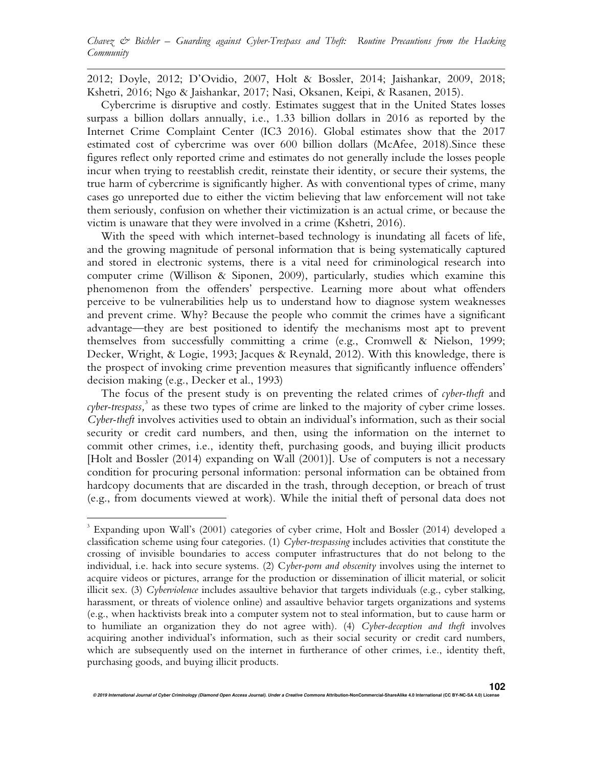*Chavez & Bichler – Guarding against Cyber-Trespass and Theft: Routine Precautions from the Hacking Community*

2012; Doyle, 2012; D'Ovidio, 2007, Holt & Bossler, 2014; Jaishankar, 2009, 2018; Kshetri, 2016; Ngo & Jaishankar, 2017; Nasi, Oksanen, Keipi, & Rasanen, 2015).

Cybercrime is disruptive and costly. Estimates suggest that in the United States losses surpass a billion dollars annually, i.e., 1.33 billion dollars in 2016 as reported by the Internet Crime Complaint Center (IC3 2016). Global estimates show that the 2017 estimated cost of cybercrime was over 600 billion dollars (McAfee, 2018).Since these figures reflect only reported crime and estimates do not generally include the losses people incur when trying to reestablish credit, reinstate their identity, or secure their systems, the true harm of cybercrime is significantly higher. As with conventional types of crime, many cases go unreported due to either the victim believing that law enforcement will not take them seriously, confusion on whether their victimization is an actual crime, or because the victim is unaware that they were involved in a crime (Kshetri, 2016).

With the speed with which internet-based technology is inundating all facets of life, and the growing magnitude of personal information that is being systematically captured and stored in electronic systems, there is a vital need for criminological research into computer crime (Willison & Siponen, 2009), particularly, studies which examine this phenomenon from the offenders' perspective. Learning more about what offenders perceive to be vulnerabilities help us to understand how to diagnose system weaknesses and prevent crime. Why? Because the people who commit the crimes have a significant advantage—they are best positioned to identify the mechanisms most apt to prevent themselves from successfully committing a crime (e.g., Cromwell & Nielson, 1999; Decker, Wright, & Logie, 1993; Jacques & Reynald, 2012). With this knowledge, there is the prospect of invoking crime prevention measures that significantly influence offenders' decision making (e.g., Decker et al., 1993)

The focus of the present study is on preventing the related crimes of *cyber-theft* and cyber-trespass,<sup>3</sup> as these two types of crime are linked to the majority of cyber crime losses. *Cyber-theft* involves activities used to obtain an individual's information, such as their social security or credit card numbers, and then, using the information on the internet to commit other crimes, i.e., identity theft, purchasing goods, and buying illicit products [Holt and Bossler (2014) expanding on Wall (2001)]. Use of computers is not a necessary condition for procuring personal information: personal information can be obtained from hardcopy documents that are discarded in the trash, through deception, or breach of trust (e.g., from documents viewed at work). While the initial theft of personal data does not

 $\overline{a}$ 

<sup>3</sup> Expanding upon Wall's (2001) categories of cyber crime, Holt and Bossler (2014) developed a classification scheme using four categories. (1) *Cyber-trespassing* includes activities that constitute the crossing of invisible boundaries to access computer infrastructures that do not belong to the individual, i.e. hack into secure systems. (2) C*yber-porn and obscenity* involves using the internet to acquire videos or pictures, arrange for the production or dissemination of illicit material, or solicit illicit sex. (3) *Cyberviolence* includes assaultive behavior that targets individuals (e.g., cyber stalking, harassment, or threats of violence online) and assaultive behavior targets organizations and systems (e.g., when hacktivists break into a computer system not to steal information, but to cause harm or to humiliate an organization they do not agree with). (4) *Cyber-deception and theft* involves acquiring another individual's information, such as their social security or credit card numbers, which are subsequently used on the internet in furtherance of other crimes, i.e., identity theft, purchasing goods, and buying illicit products.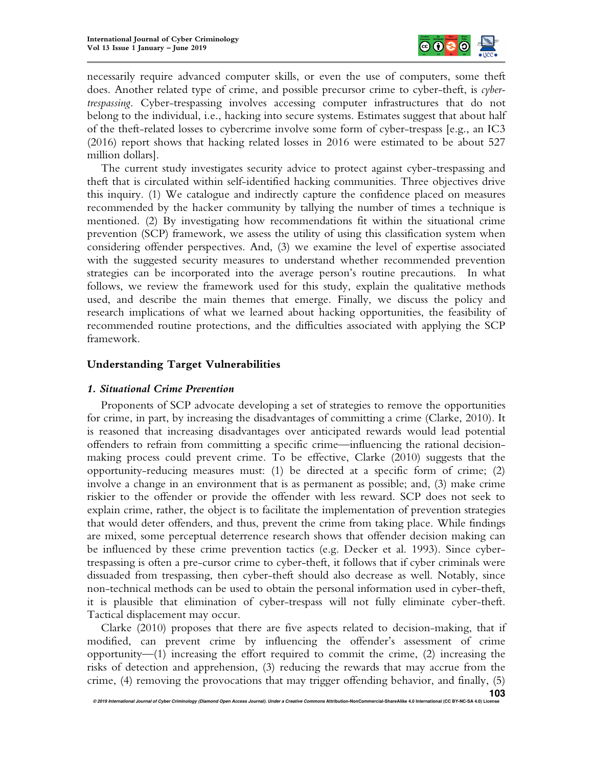

necessarily require advanced computer skills, or even the use of computers, some theft does. Another related type of crime, and possible precursor crime to cyber-theft, is *cybertrespassing*. Cyber-trespassing involves accessing computer infrastructures that do not belong to the individual, i.e., hacking into secure systems. Estimates suggest that about half of the theft-related losses to cybercrime involve some form of cyber-trespass [e.g., an IC3 (2016) report shows that hacking related losses in 2016 were estimated to be about 527 million dollars].

The current study investigates security advice to protect against cyber-trespassing and theft that is circulated within self-identified hacking communities. Three objectives drive this inquiry. (1) We catalogue and indirectly capture the confidence placed on measures recommended by the hacker community by tallying the number of times a technique is mentioned. (2) By investigating how recommendations fit within the situational crime prevention (SCP) framework, we assess the utility of using this classification system when considering offender perspectives. And, (3) we examine the level of expertise associated with the suggested security measures to understand whether recommended prevention strategies can be incorporated into the average person's routine precautions. In what follows, we review the framework used for this study, explain the qualitative methods used, and describe the main themes that emerge. Finally, we discuss the policy and research implications of what we learned about hacking opportunities, the feasibility of recommended routine protections, and the difficulties associated with applying the SCP framework.

## **Understanding Target Vulnerabilities**

#### *1. Situational Crime Prevention*

Proponents of SCP advocate developing a set of strategies to remove the opportunities for crime, in part, by increasing the disadvantages of committing a crime (Clarke, 2010). It is reasoned that increasing disadvantages over anticipated rewards would lead potential offenders to refrain from committing a specific crime—influencing the rational decisionmaking process could prevent crime. To be effective, Clarke (2010) suggests that the opportunity-reducing measures must: (1) be directed at a specific form of crime; (2) involve a change in an environment that is as permanent as possible; and, (3) make crime riskier to the offender or provide the offender with less reward. SCP does not seek to explain crime, rather, the object is to facilitate the implementation of prevention strategies that would deter offenders, and thus, prevent the crime from taking place. While findings are mixed, some perceptual deterrence research shows that offender decision making can be influenced by these crime prevention tactics (e.g. Decker et al. 1993). Since cybertrespassing is often a pre-cursor crime to cyber-theft, it follows that if cyber criminals were dissuaded from trespassing, then cyber-theft should also decrease as well. Notably, since non-technical methods can be used to obtain the personal information used in cyber-theft, it is plausible that elimination of cyber-trespass will not fully eliminate cyber-theft. Tactical displacement may occur.

Clarke (2010) proposes that there are five aspects related to decision-making, that if modified, can prevent crime by influencing the offender's assessment of crime opportunity—(1) increasing the effort required to commit the crime, (2) increasing the risks of detection and apprehension, (3) reducing the rewards that may accrue from the crime, (4) removing the provocations that may trigger offending behavior, and finally, (5)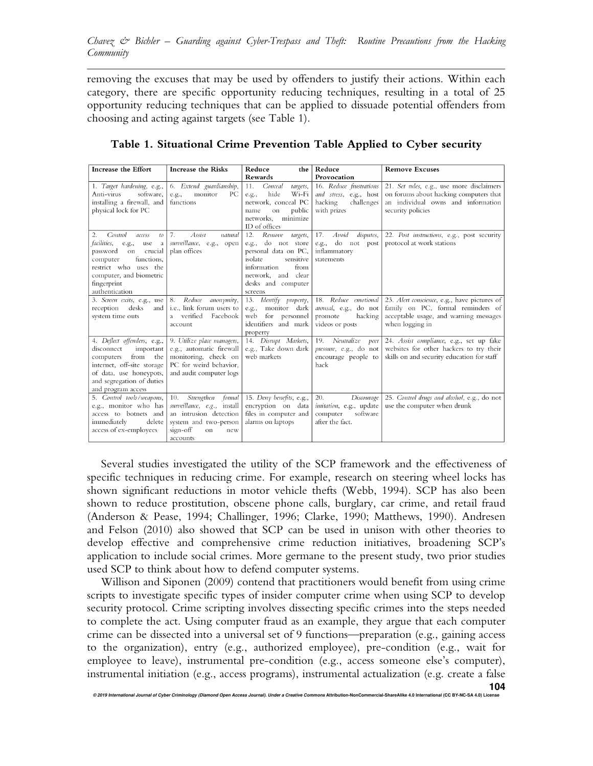removing the excuses that may be used by offenders to justify their actions. Within each category, there are specific opportunity reducing techniques, resulting in a total of 25 opportunity reducing techniques that can be applied to dissuade potential offenders from choosing and acting against targets (see Table 1).

| Increase the Effort                                                                                                                                                                                           | <b>Increase the Risks</b>                                                                                                                       | Reduce<br>the                                                                                                                                                                 | Reduce                                                                                    | <b>Remove Excuses</b>                                                                                                                          |
|---------------------------------------------------------------------------------------------------------------------------------------------------------------------------------------------------------------|-------------------------------------------------------------------------------------------------------------------------------------------------|-------------------------------------------------------------------------------------------------------------------------------------------------------------------------------|-------------------------------------------------------------------------------------------|------------------------------------------------------------------------------------------------------------------------------------------------|
|                                                                                                                                                                                                               |                                                                                                                                                 | Rewards                                                                                                                                                                       | Provocation                                                                               |                                                                                                                                                |
| 1. Target hardening, e.g.,<br>software.<br>Anti-virus<br>installing a firewall, and<br>physical lock for PC                                                                                                   | 6. Extend guardianship,<br>monitor<br>PС<br>e.g.,<br>functions                                                                                  | Conceal<br>11.<br>targets,<br>hide<br>Wi-Fi<br>e.g.,<br>network, conceal PC<br>public<br>name<br>on<br>networks, minimize<br>ID of offices                                    | 16. Reduce frustrations<br>and stress, e.g., host<br>hacking<br>challenges<br>with prizes | 21. Set rules, e.g., use more disclaimers<br>on forums about hacking computers that<br>an individual owns and information<br>security policies |
| 2.<br>Control<br>access<br>to<br>facilities,<br>e.g.,<br>use<br>a<br>password<br>on<br>crucial<br>functions,<br>computer<br>restrict who uses the<br>computer, and biometric<br>fingerprint<br>authentication | 7.<br>Assist<br>natural<br>surveillance, e.g., open<br>plan offices                                                                             | Remove<br>12.<br>targets,<br>e.g., do not store<br>personal data on PC,<br>isolate<br>sensitive<br>information<br>from<br>network, and clear<br>desks and computer<br>screens | 17.<br>disputes,<br>Avoid<br>e.g., do not post<br>inflammatory<br>statements              | 22. Post instructions, e.g., post security<br>protocol at work stations                                                                        |
| 3. Screen exits, e.g., use<br>reception<br>desks<br>and  <br>system time outs                                                                                                                                 | 8. Reduce anonymity,<br>i.e., link forum users to<br>a verified<br>Facebook<br>account                                                          | 13. Identify property,<br>e.g., monitor dark<br>web for personnel<br>identifiers and mark<br>property                                                                         | 18. Reduce emotional<br>arousal, e.g., do not<br>promote<br>hacking<br>videos or posts    | 23. Alert conscience, e.g., have pictures of<br>family on PC, formal reminders of<br>acceptable usage, and warning messages<br>when logging in |
| 4. Deflect offenders, e.g.,<br>disconnect<br>important<br>from<br>computers<br>the<br>internet, off-site storage<br>of data, use honeypots,<br>and segregation of duties<br>and program access                | 9. Utilize place managers,<br>e.g., automatic firewall<br>monitoring, check on<br>PC for weird behavior,<br>and audit computer logs             | 14. Disrupt Markets,<br>e.g., Take down dark<br>web markets                                                                                                                   | 19. Neutralize<br>peer<br>pressure, e.g., do not<br>encourage people to<br>hack           | 24. Assist compliance, e.g., set up fake<br>websites for other hackers to try their<br>skills on and security education for staff              |
| 5. Control tools/weapons,<br>e.g., monitor who has<br>access to botnets and<br>immediately<br>delete<br>access of ex-employees                                                                                | Strengthen formal<br>10.<br>surveillance, e.g., install<br>an intrusion detection<br>system and two-person<br>sign-off<br>on<br>new<br>accounts | 15. Deny benefits, e.g.,<br>encryption on data<br>files in computer and<br>alarms on laptops                                                                                  | 20.<br>Discourage<br>imitation, e.g., update<br>software<br>computer<br>after the fact.   | 25. Control drugs and alcohol, e.g., do not<br>use the computer when drunk                                                                     |

## **Table 1. Situational Crime Prevention Table Applied to Cyber security**

Several studies investigated the utility of the SCP framework and the effectiveness of specific techniques in reducing crime. For example, research on steering wheel locks has shown significant reductions in motor vehicle thefts (Webb, 1994). SCP has also been shown to reduce prostitution, obscene phone calls, burglary, car crime, and retail fraud (Anderson & Pease, 1994; Challinger, 1996; Clarke, 1990; Matthews, 1990). Andresen and Felson (2010) also showed that SCP can be used in unison with other theories to develop effective and comprehensive crime reduction initiatives, broadening SCP's application to include social crimes. More germane to the present study, two prior studies used SCP to think about how to defend computer systems.

Willison and Siponen (2009) contend that practitioners would benefit from using crime scripts to investigate specific types of insider computer crime when using SCP to develop security protocol. Crime scripting involves dissecting specific crimes into the steps needed to complete the act. Using computer fraud as an example, they argue that each computer crime can be dissected into a universal set of 9 functions—preparation (e.g., gaining access to the organization), entry (e.g., authorized employee), pre-condition (e.g., wait for employee to leave), instrumental pre-condition (e.g., access someone else's computer), instrumental initiation (e.g., access programs), instrumental actualization (e.g. create a false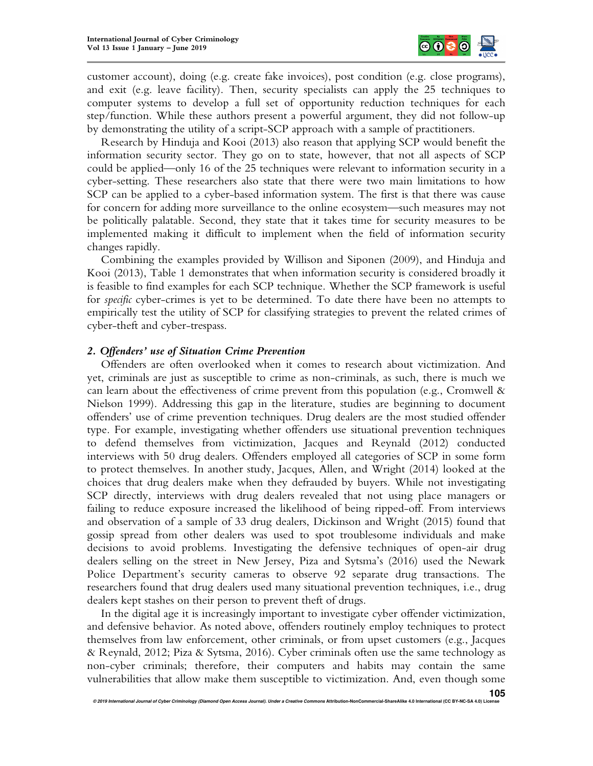

customer account), doing (e.g. create fake invoices), post condition (e.g. close programs), and exit (e.g. leave facility). Then, security specialists can apply the 25 techniques to computer systems to develop a full set of opportunity reduction techniques for each step/function. While these authors present a powerful argument, they did not follow-up by demonstrating the utility of a script-SCP approach with a sample of practitioners.

Research by Hinduja and Kooi (2013) also reason that applying SCP would benefit the information security sector. They go on to state, however, that not all aspects of SCP could be applied—only 16 of the 25 techniques were relevant to information security in a cyber-setting. These researchers also state that there were two main limitations to how SCP can be applied to a cyber-based information system. The first is that there was cause for concern for adding more surveillance to the online ecosystem—such measures may not be politically palatable. Second, they state that it takes time for security measures to be implemented making it difficult to implement when the field of information security changes rapidly.

Combining the examples provided by Willison and Siponen (2009), and Hinduja and Kooi (2013), Table 1 demonstrates that when information security is considered broadly it is feasible to find examples for each SCP technique. Whether the SCP framework is useful for *specific* cyber-crimes is yet to be determined. To date there have been no attempts to empirically test the utility of SCP for classifying strategies to prevent the related crimes of cyber-theft and cyber-trespass.

#### *2. Offenders' use of Situation Crime Prevention*

Offenders are often overlooked when it comes to research about victimization. And yet, criminals are just as susceptible to crime as non-criminals, as such, there is much we can learn about the effectiveness of crime prevent from this population (e.g., Cromwell  $\&$ Nielson 1999). Addressing this gap in the literature, studies are beginning to document offenders' use of crime prevention techniques. Drug dealers are the most studied offender type. For example, investigating whether offenders use situational prevention techniques to defend themselves from victimization, Jacques and Reynald (2012) conducted interviews with 50 drug dealers. Offenders employed all categories of SCP in some form to protect themselves. In another study, Jacques, Allen, and Wright (2014) looked at the choices that drug dealers make when they defrauded by buyers. While not investigating SCP directly, interviews with drug dealers revealed that not using place managers or failing to reduce exposure increased the likelihood of being ripped-off. From interviews and observation of a sample of 33 drug dealers, Dickinson and Wright (2015) found that gossip spread from other dealers was used to spot troublesome individuals and make decisions to avoid problems. Investigating the defensive techniques of open-air drug dealers selling on the street in New Jersey, Piza and Sytsma's (2016) used the Newark Police Department's security cameras to observe 92 separate drug transactions. The researchers found that drug dealers used many situational prevention techniques, i.e., drug dealers kept stashes on their person to prevent theft of drugs.

In the digital age it is increasingly important to investigate cyber offender victimization, and defensive behavior. As noted above, offenders routinely employ techniques to protect themselves from law enforcement, other criminals, or from upset customers (e.g., Jacques & Reynald, 2012; Piza & Sytsma, 2016). Cyber criminals often use the same technology as non-cyber criminals; therefore, their computers and habits may contain the same vulnerabilities that allow make them susceptible to victimization. And, even though some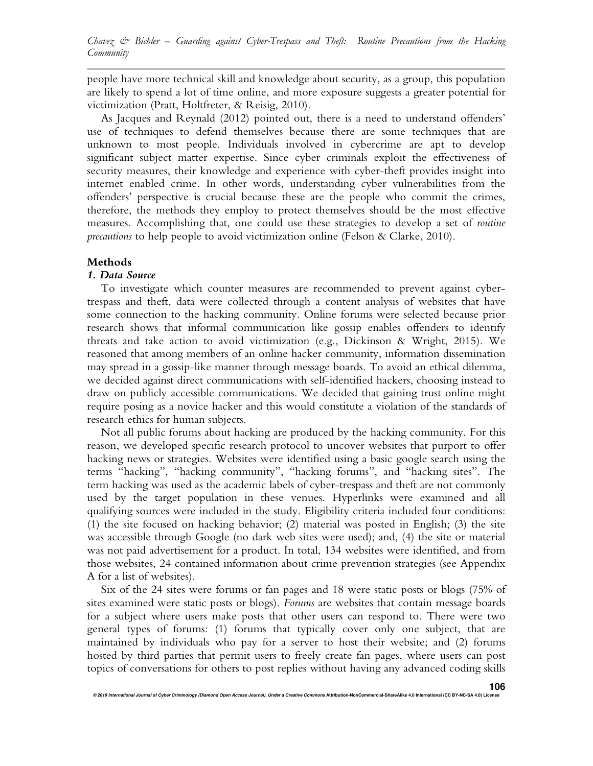people have more technical skill and knowledge about security, as a group, this population are likely to spend a lot of time online, and more exposure suggests a greater potential for victimization (Pratt, Holtfreter, & Reisig, 2010).

As Jacques and Reynald (2012) pointed out, there is a need to understand offenders' use of techniques to defend themselves because there are some techniques that are unknown to most people. Individuals involved in cybercrime are apt to develop significant subject matter expertise. Since cyber criminals exploit the effectiveness of security measures, their knowledge and experience with cyber-theft provides insight into internet enabled crime. In other words, understanding cyber vulnerabilities from the offenders' perspective is crucial because these are the people who commit the crimes, therefore, the methods they employ to protect themselves should be the most effective measures. Accomplishing that, one could use these strategies to develop a set of *routine precautions* to help people to avoid victimization online (Felson & Clarke, 2010).

#### **Methods**

#### *1. Data Source*

To investigate which counter measures are recommended to prevent against cybertrespass and theft, data were collected through a content analysis of websites that have some connection to the hacking community. Online forums were selected because prior research shows that informal communication like gossip enables offenders to identify threats and take action to avoid victimization (e.g., Dickinson & Wright, 2015). We reasoned that among members of an online hacker community, information dissemination may spread in a gossip-like manner through message boards. To avoid an ethical dilemma, we decided against direct communications with self-identified hackers, choosing instead to draw on publicly accessible communications. We decided that gaining trust online might require posing as a novice hacker and this would constitute a violation of the standards of research ethics for human subjects.

Not all public forums about hacking are produced by the hacking community. For this reason, we developed specific research protocol to uncover websites that purport to offer hacking news or strategies. Websites were identified using a basic google search using the terms "hacking", "hacking community", "hacking forums", and "hacking sites". The term hacking was used as the academic labels of cyber-trespass and theft are not commonly used by the target population in these venues. Hyperlinks were examined and all qualifying sources were included in the study. Eligibility criteria included four conditions: (1) the site focused on hacking behavior; (2) material was posted in English; (3) the site was accessible through Google (no dark web sites were used); and, (4) the site or material was not paid advertisement for a product. In total, 134 websites were identified, and from those websites, 24 contained information about crime prevention strategies (see Appendix A for a list of websites).

Six of the 24 sites were forums or fan pages and 18 were static posts or blogs (75% of sites examined were static posts or blogs). *Forums* are websites that contain message boards for a subject where users make posts that other users can respond to. There were two general types of forums: (1) forums that typically cover only one subject, that are maintained by individuals who pay for a server to host their website; and (2) forums hosted by third parties that permit users to freely create fan pages, where users can post topics of conversations for others to post replies without having any advanced coding skills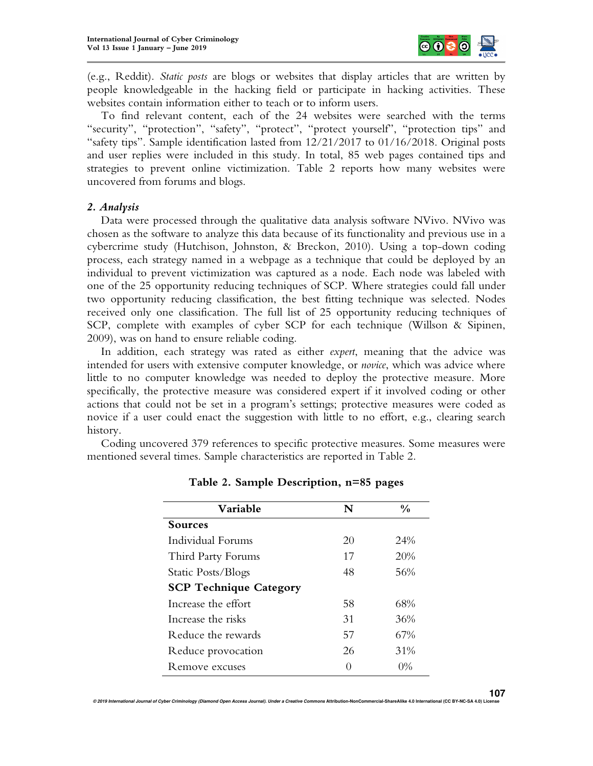

(e.g., Reddit). *Static posts* are blogs or websites that display articles that are written by people knowledgeable in the hacking field or participate in hacking activities. These websites contain information either to teach or to inform users.

To find relevant content, each of the 24 websites were searched with the terms "security", "protection", "safety", "protect", "protect yourself", "protection tips" and "safety tips". Sample identification lasted from 12/21/2017 to 01/16/2018. Original posts and user replies were included in this study. In total, 85 web pages contained tips and strategies to prevent online victimization. Table 2 reports how many websites were uncovered from forums and blogs.

#### *2. Analysis*

Data were processed through the qualitative data analysis software NVivo. NVivo was chosen as the software to analyze this data because of its functionality and previous use in a cybercrime study (Hutchison, Johnston, & Breckon, 2010). Using a top-down coding process, each strategy named in a webpage as a technique that could be deployed by an individual to prevent victimization was captured as a node. Each node was labeled with one of the 25 opportunity reducing techniques of SCP. Where strategies could fall under two opportunity reducing classification, the best fitting technique was selected. Nodes received only one classification. The full list of 25 opportunity reducing techniques of SCP, complete with examples of cyber SCP for each technique (Willson & Sipinen, 2009), was on hand to ensure reliable coding.

In addition, each strategy was rated as either *expert*, meaning that the advice was intended for users with extensive computer knowledge, or *novice*, which was advice where little to no computer knowledge was needed to deploy the protective measure. More specifically, the protective measure was considered expert if it involved coding or other actions that could not be set in a program's settings; protective measures were coded as novice if a user could enact the suggestion with little to no effort, e.g., clearing search history.

Coding uncovered 379 references to specific protective measures. Some measures were mentioned several times. Sample characteristics are reported in Table 2.

| <b>Variable</b>               | N  | $\frac{0}{0}$ |
|-------------------------------|----|---------------|
| <b>Sources</b>                |    |               |
| Individual Forums             | 20 | 24%           |
| Third Party Forums            | 17 | 20%           |
| Static Posts/Blogs            | 48 | 56%           |
| <b>SCP Technique Category</b> |    |               |
| Increase the effort           | 58 | 68%           |
| Increase the risks            | 31 | 36%           |
| Reduce the rewards            | 57 | 67%           |
| Reduce provocation            | 26 | 31%           |
| Remove excuses                |    | $0\%$         |

**Table 2. Sample Description, n=85 pages**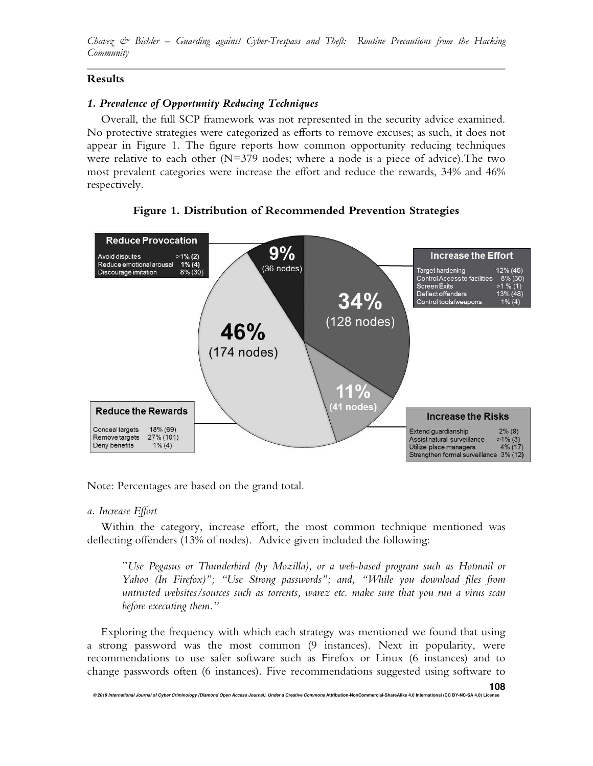*Chavez & Bichler – Guarding against Cyber-Trespass and Theft: Routine Precautions from the Hacking Community*

## **Results**

## *1. Prevalence of Opportunity Reducing Techniques*

Overall, the full SCP framework was not represented in the security advice examined. No protective strategies were categorized as efforts to remove excuses; as such, it does not appear in Figure 1. The figure reports how common opportunity reducing techniques were relative to each other  $(N=379 \text{ nodes};$  where a node is a piece of advice). The two most prevalent categories were increase the effort and reduce the rewards, 34% and 46% respectively.



**Figure 1. Distribution of Recommended Prevention Strategies** 

Note: Percentages are based on the grand total.

#### *a. Increase Effort*

Within the category, increase effort, the most common technique mentioned was deflecting offenders (13% of nodes). Advice given included the following:

"*Use Pegasus or Thunderbird (by Mozilla), or a web-based program such as Hotmail or Yahoo (In Firefox)"; "Use Strong passwords"; and, "While you download files from untrusted websites/sources such as torrents, warez etc. make sure that you run a virus scan before executing them."* 

Exploring the frequency with which each strategy was mentioned we found that using a strong password was the most common (9 instances). Next in popularity, were recommendations to use safer software such as Firefox or Linux (6 instances) and to change passwords often (6 instances). Five recommendations suggested using software to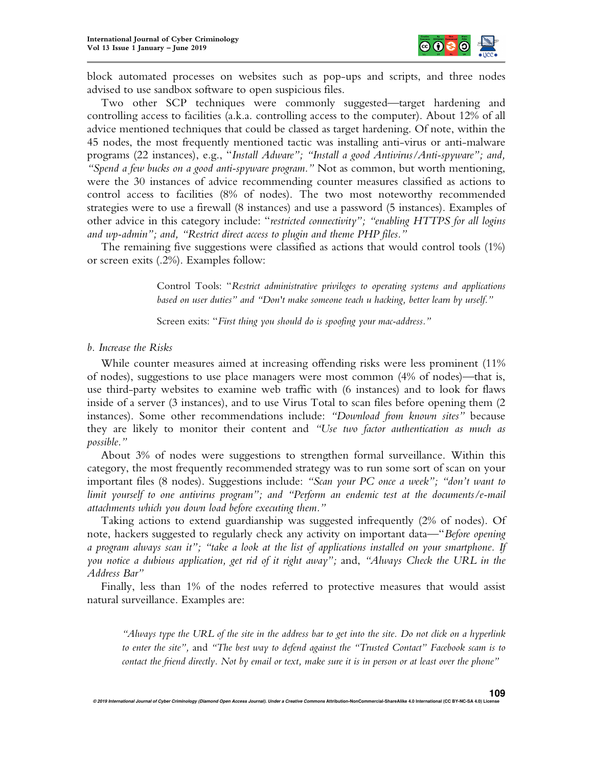

block automated processes on websites such as pop-ups and scripts, and three nodes advised to use sandbox software to open suspicious files.

Two other SCP techniques were commonly suggested—target hardening and controlling access to facilities (a.k.a. controlling access to the computer). About 12% of all advice mentioned techniques that could be classed as target hardening. Of note, within the 45 nodes, the most frequently mentioned tactic was installing anti-virus or anti-malware programs (22 instances), e.g., "*Install Adware"; "Install a good Antivirus/Anti-spyware"; and, "Spend a few bucks on a good anti-spyware program."* Not as common, but worth mentioning, were the 30 instances of advice recommending counter measures classified as actions to control access to facilities (8% of nodes). The two most noteworthy recommended strategies were to use a firewall (8 instances) and use a password (5 instances). Examples of other advice in this category include: "*restricted connectivity"; "enabling HTTPS for all logins and wp-admin"; and, "Restrict direct access to plugin and theme PHP files."* 

The remaining five suggestions were classified as actions that would control tools (1%) or screen exits (.2%). Examples follow:

> Control Tools: "*Restrict administrative privileges to operating systems and applications based on user duties" and "Don't make someone teach u hacking, better learn by urself."*

Screen exits: "*First thing you should do is spoofing your mac-address."* 

#### *b. Increase the Risks*

While counter measures aimed at increasing offending risks were less prominent (11% of nodes), suggestions to use place managers were most common (4% of nodes)—that is, use third-party websites to examine web traffic with (6 instances) and to look for flaws inside of a server (3 instances), and to use Virus Total to scan files before opening them (2 instances). Some other recommendations include: *"Download from known sites"* because they are likely to monitor their content and *"Use two factor authentication as much as possible."*

About 3% of nodes were suggestions to strengthen formal surveillance. Within this category, the most frequently recommended strategy was to run some sort of scan on your important files (8 nodes). Suggestions include: *"Scan your PC once a week"; "don't want to limit yourself to one antivirus program"; and "Perform an endemic test at the documents/e-mail attachments which you down load before executing them."* 

Taking actions to extend guardianship was suggested infrequently (2% of nodes). Of note, hackers suggested to regularly check any activity on important data—"*Before opening a program always scan it"; "take a look at the list of applications installed on your smartphone. If you notice a dubious application, get rid of it right away";* and, *"Always Check the URL in the Address Bar"* 

Finally, less than 1% of the nodes referred to protective measures that would assist natural surveillance. Examples are:

*"Always type the URL of the site in the address bar to get into the site. Do not click on a hyperlink to enter the site",* and *"The best way to defend against the "Trusted Contact" Facebook scam is to contact the friend directly. Not by email or text, make sure it is in person or at least over the phone"*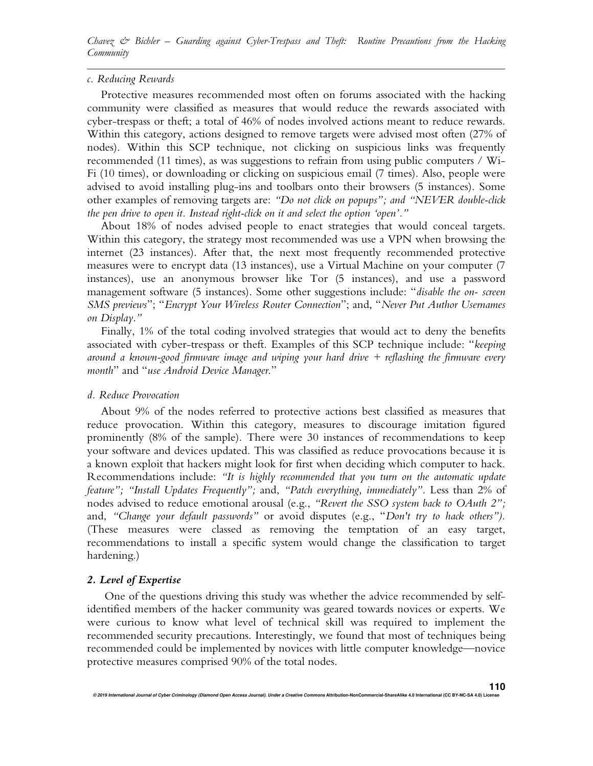#### *c. Reducing Rewards*

Protective measures recommended most often on forums associated with the hacking community were classified as measures that would reduce the rewards associated with cyber-trespass or theft; a total of 46% of nodes involved actions meant to reduce rewards. Within this category, actions designed to remove targets were advised most often (27% of nodes). Within this SCP technique, not clicking on suspicious links was frequently recommended (11 times), as was suggestions to refrain from using public computers / Wi-Fi (10 times), or downloading or clicking on suspicious email (7 times). Also, people were advised to avoid installing plug-ins and toolbars onto their browsers (5 instances). Some other examples of removing targets are: *"Do not click on popups"; and "NEVER double-click the pen drive to open it. Instead right-click on it and select the option 'open'."* 

About 18% of nodes advised people to enact strategies that would conceal targets. Within this category, the strategy most recommended was use a VPN when browsing the internet (23 instances). After that, the next most frequently recommended protective measures were to encrypt data (13 instances), use a Virtual Machine on your computer (7 instances), use an anonymous browser like Tor (5 instances), and use a password management software (5 instances). Some other suggestions include: "*disable the on- screen SMS previews*"; "*Encrypt Your Wireless Router Connection*"; and, "*Never Put Author Usernames on Display*.*"*

Finally, 1% of the total coding involved strategies that would act to deny the benefits associated with cyber-trespass or theft. Examples of this SCP technique include: "*keeping around a known-good firmware image and wiping your hard drive + reflashing the firmware every month*" and "*use Android Device Manager*."

#### *d. Reduce Provocation*

About 9% of the nodes referred to protective actions best classified as measures that reduce provocation. Within this category, measures to discourage imitation figured prominently (8% of the sample). There were 30 instances of recommendations to keep your software and devices updated. This was classified as reduce provocations because it is a known exploit that hackers might look for first when deciding which computer to hack. Recommendations include: *"It is highly recommended that you turn on the automatic update feature"; "Install Updates Frequently";* and, *"Patch everything, immediately".* Less than 2% of nodes advised to reduce emotional arousal (e.g., *"Revert the SSO system back to OAuth 2";*  and, *"Change your default passwords"* or avoid disputes (e.g., "*Don't try to hack others").*  (These measures were classed as removing the temptation of an easy target, recommendations to install a specific system would change the classification to target hardening.)

#### *2. Level of Expertise*

One of the questions driving this study was whether the advice recommended by selfidentified members of the hacker community was geared towards novices or experts. We were curious to know what level of technical skill was required to implement the recommended security precautions. Interestingly, we found that most of techniques being recommended could be implemented by novices with little computer knowledge—novice protective measures comprised 90% of the total nodes.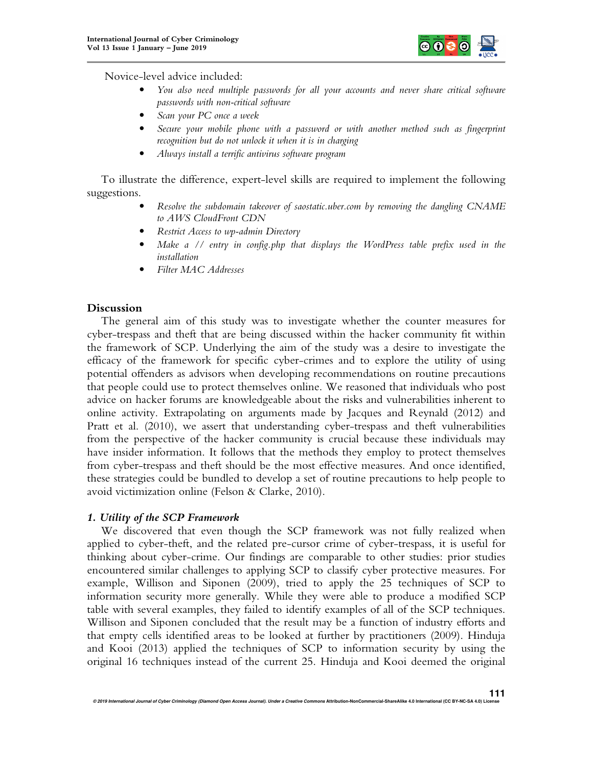

Novice-level advice included:

- *You also need multiple passwords for all your accounts and never share critical software passwords with non-critical software*
- *Scan your PC once a week*
- *Secure your mobile phone with a password or with another method such as fingerprint recognition but do not unlock it when it is in charging*
- *Always install a terrific antivirus software program*

To illustrate the difference, expert-level skills are required to implement the following suggestions.

- *Resolve the subdomain takeover of saostatic.uber.com by removing the dangling CNAME to AWS CloudFront CDN*
- *Restrict Access to wp-admin Directory*
- *Make a // entry in config.php that displays the WordPress table prefix used in the installation*
- *Filter MAC Addresses*

## **Discussion**

The general aim of this study was to investigate whether the counter measures for cyber-trespass and theft that are being discussed within the hacker community fit within the framework of SCP. Underlying the aim of the study was a desire to investigate the efficacy of the framework for specific cyber-crimes and to explore the utility of using potential offenders as advisors when developing recommendations on routine precautions that people could use to protect themselves online. We reasoned that individuals who post advice on hacker forums are knowledgeable about the risks and vulnerabilities inherent to online activity. Extrapolating on arguments made by Jacques and Reynald (2012) and Pratt et al. (2010), we assert that understanding cyber-trespass and theft vulnerabilities from the perspective of the hacker community is crucial because these individuals may have insider information. It follows that the methods they employ to protect themselves from cyber-trespass and theft should be the most effective measures. And once identified, these strategies could be bundled to develop a set of routine precautions to help people to avoid victimization online (Felson & Clarke, 2010).

#### *1. Utility of the SCP Framework*

We discovered that even though the SCP framework was not fully realized when applied to cyber-theft, and the related pre-cursor crime of cyber-trespass, it is useful for thinking about cyber-crime. Our findings are comparable to other studies: prior studies encountered similar challenges to applying SCP to classify cyber protective measures. For example, Willison and Siponen (2009), tried to apply the 25 techniques of SCP to information security more generally. While they were able to produce a modified SCP table with several examples, they failed to identify examples of all of the SCP techniques. Willison and Siponen concluded that the result may be a function of industry efforts and that empty cells identified areas to be looked at further by practitioners (2009). Hinduja and Kooi (2013) applied the techniques of SCP to information security by using the original 16 techniques instead of the current 25. Hinduja and Kooi deemed the original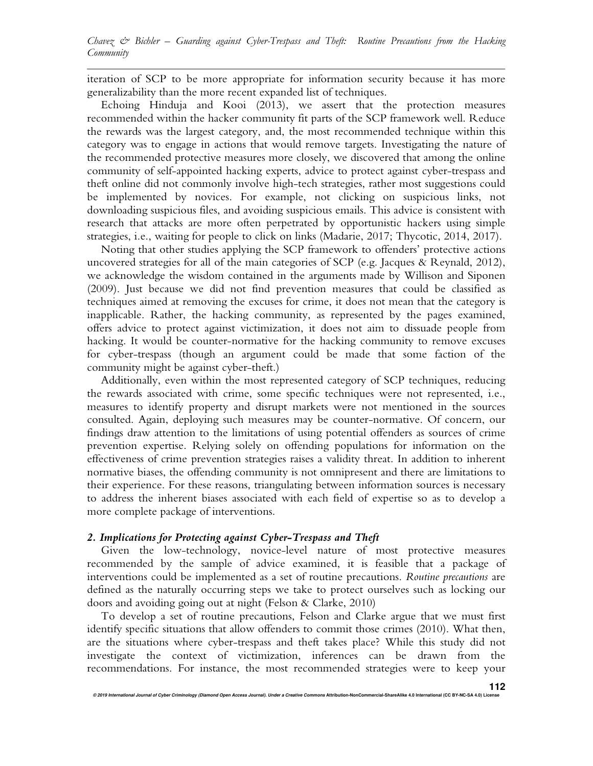iteration of SCP to be more appropriate for information security because it has more generalizability than the more recent expanded list of techniques.

Echoing Hinduja and Kooi (2013), we assert that the protection measures recommended within the hacker community fit parts of the SCP framework well. Reduce the rewards was the largest category, and, the most recommended technique within this category was to engage in actions that would remove targets. Investigating the nature of the recommended protective measures more closely, we discovered that among the online community of self-appointed hacking experts, advice to protect against cyber-trespass and theft online did not commonly involve high-tech strategies, rather most suggestions could be implemented by novices. For example, not clicking on suspicious links, not downloading suspicious files, and avoiding suspicious emails. This advice is consistent with research that attacks are more often perpetrated by opportunistic hackers using simple strategies, i.e., waiting for people to click on links (Madarie, 2017; Thycotic, 2014, 2017).

Noting that other studies applying the SCP framework to offenders' protective actions uncovered strategies for all of the main categories of SCP (e.g. Jacques & Reynald, 2012), we acknowledge the wisdom contained in the arguments made by Willison and Siponen (2009). Just because we did not find prevention measures that could be classified as techniques aimed at removing the excuses for crime, it does not mean that the category is inapplicable. Rather, the hacking community, as represented by the pages examined, offers advice to protect against victimization, it does not aim to dissuade people from hacking. It would be counter-normative for the hacking community to remove excuses for cyber-trespass (though an argument could be made that some faction of the community might be against cyber-theft.)

Additionally, even within the most represented category of SCP techniques, reducing the rewards associated with crime, some specific techniques were not represented, i.e., measures to identify property and disrupt markets were not mentioned in the sources consulted. Again, deploying such measures may be counter-normative. Of concern, our findings draw attention to the limitations of using potential offenders as sources of crime prevention expertise. Relying solely on offending populations for information on the effectiveness of crime prevention strategies raises a validity threat. In addition to inherent normative biases, the offending community is not omnipresent and there are limitations to their experience. For these reasons, triangulating between information sources is necessary to address the inherent biases associated with each field of expertise so as to develop a more complete package of interventions.

#### *2. Implications for Protecting against Cyber-Trespass and Theft*

Given the low-technology, novice-level nature of most protective measures recommended by the sample of advice examined, it is feasible that a package of interventions could be implemented as a set of routine precautions. *Routine precautions* are defined as the naturally occurring steps we take to protect ourselves such as locking our doors and avoiding going out at night (Felson & Clarke, 2010)

To develop a set of routine precautions, Felson and Clarke argue that we must first identify specific situations that allow offenders to commit those crimes (2010). What then, are the situations where cyber-trespass and theft takes place? While this study did not investigate the context of victimization, inferences can be drawn from the recommendations. For instance, the most recommended strategies were to keep your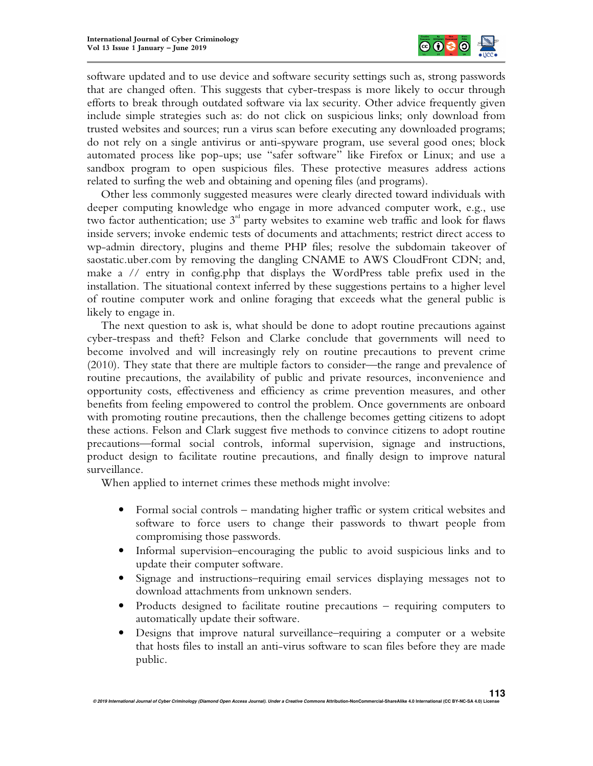

software updated and to use device and software security settings such as, strong passwords that are changed often. This suggests that cyber-trespass is more likely to occur through efforts to break through outdated software via lax security. Other advice frequently given include simple strategies such as: do not click on suspicious links; only download from trusted websites and sources; run a virus scan before executing any downloaded programs; do not rely on a single antivirus or anti-spyware program, use several good ones; block automated process like pop-ups; use "safer software" like Firefox or Linux; and use a sandbox program to open suspicious files. These protective measures address actions related to surfing the web and obtaining and opening files (and programs).

Other less commonly suggested measures were clearly directed toward individuals with deeper computing knowledge who engage in more advanced computer work, e.g., use two factor authentication; use  $3<sup>rd</sup>$  party websites to examine web traffic and look for flaws inside servers; invoke endemic tests of documents and attachments; restrict direct access to wp-admin directory, plugins and theme PHP files; resolve the subdomain takeover of saostatic.uber.com by removing the dangling CNAME to AWS CloudFront CDN; and, make a  $\ell$  entry in config.php that displays the WordPress table prefix used in the installation. The situational context inferred by these suggestions pertains to a higher level of routine computer work and online foraging that exceeds what the general public is likely to engage in.

The next question to ask is, what should be done to adopt routine precautions against cyber-trespass and theft? Felson and Clarke conclude that governments will need to become involved and will increasingly rely on routine precautions to prevent crime (2010). They state that there are multiple factors to consider—the range and prevalence of routine precautions, the availability of public and private resources, inconvenience and opportunity costs, effectiveness and efficiency as crime prevention measures, and other benefits from feeling empowered to control the problem. Once governments are onboard with promoting routine precautions, then the challenge becomes getting citizens to adopt these actions. Felson and Clark suggest five methods to convince citizens to adopt routine precautions—formal social controls, informal supervision, signage and instructions, product design to facilitate routine precautions, and finally design to improve natural surveillance.

When applied to internet crimes these methods might involve:

- Formal social controls mandating higher traffic or system critical websites and software to force users to change their passwords to thwart people from compromising those passwords.
- Informal supervision–encouraging the public to avoid suspicious links and to update their computer software.
- Signage and instructions–requiring email services displaying messages not to download attachments from unknown senders.
- Products designed to facilitate routine precautions requiring computers to automatically update their software.
- Designs that improve natural surveillance–requiring a computer or a website that hosts files to install an anti-virus software to scan files before they are made public.

© 2019 International Journal of Cyber Criminology (Diamond Open Access Journal). Under a Creative Commons Attribution-NonCommercial-ShareAlike 4.0 International (CC BY-NC-SA 4.0) Licens **113**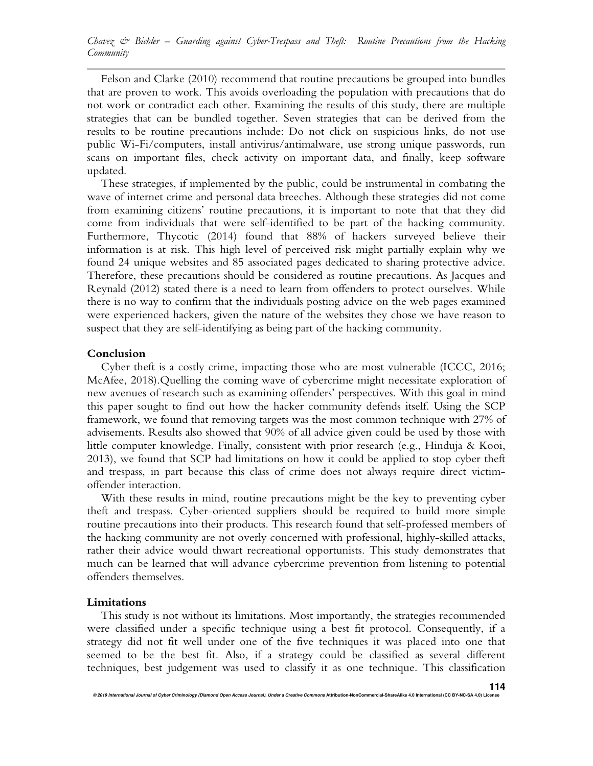Felson and Clarke (2010) recommend that routine precautions be grouped into bundles that are proven to work. This avoids overloading the population with precautions that do not work or contradict each other. Examining the results of this study, there are multiple strategies that can be bundled together. Seven strategies that can be derived from the results to be routine precautions include: Do not click on suspicious links, do not use public Wi-Fi/computers, install antivirus/antimalware, use strong unique passwords, run scans on important files, check activity on important data, and finally, keep software updated.

These strategies, if implemented by the public, could be instrumental in combating the wave of internet crime and personal data breeches. Although these strategies did not come from examining citizens' routine precautions, it is important to note that that they did come from individuals that were self-identified to be part of the hacking community. Furthermore, Thycotic (2014) found that 88% of hackers surveyed believe their information is at risk. This high level of perceived risk might partially explain why we found 24 unique websites and 85 associated pages dedicated to sharing protective advice. Therefore, these precautions should be considered as routine precautions. As Jacques and Reynald (2012) stated there is a need to learn from offenders to protect ourselves. While there is no way to confirm that the individuals posting advice on the web pages examined were experienced hackers, given the nature of the websites they chose we have reason to suspect that they are self-identifying as being part of the hacking community.

#### **Conclusion**

Cyber theft is a costly crime, impacting those who are most vulnerable (ICCC, 2016; McAfee, 2018).Quelling the coming wave of cybercrime might necessitate exploration of new avenues of research such as examining offenders' perspectives. With this goal in mind this paper sought to find out how the hacker community defends itself. Using the SCP framework, we found that removing targets was the most common technique with 27% of advisements. Results also showed that 90% of all advice given could be used by those with little computer knowledge. Finally, consistent with prior research (e.g., Hinduja & Kooi, 2013), we found that SCP had limitations on how it could be applied to stop cyber theft and trespass, in part because this class of crime does not always require direct victimoffender interaction.

With these results in mind, routine precautions might be the key to preventing cyber theft and trespass. Cyber-oriented suppliers should be required to build more simple routine precautions into their products. This research found that self-professed members of the hacking community are not overly concerned with professional, highly-skilled attacks, rather their advice would thwart recreational opportunists. This study demonstrates that much can be learned that will advance cybercrime prevention from listening to potential offenders themselves.

#### **Limitations**

This study is not without its limitations. Most importantly, the strategies recommended were classified under a specific technique using a best fit protocol. Consequently, if a strategy did not fit well under one of the five techniques it was placed into one that seemed to be the best fit. Also, if a strategy could be classified as several different techniques, best judgement was used to classify it as one technique. This classification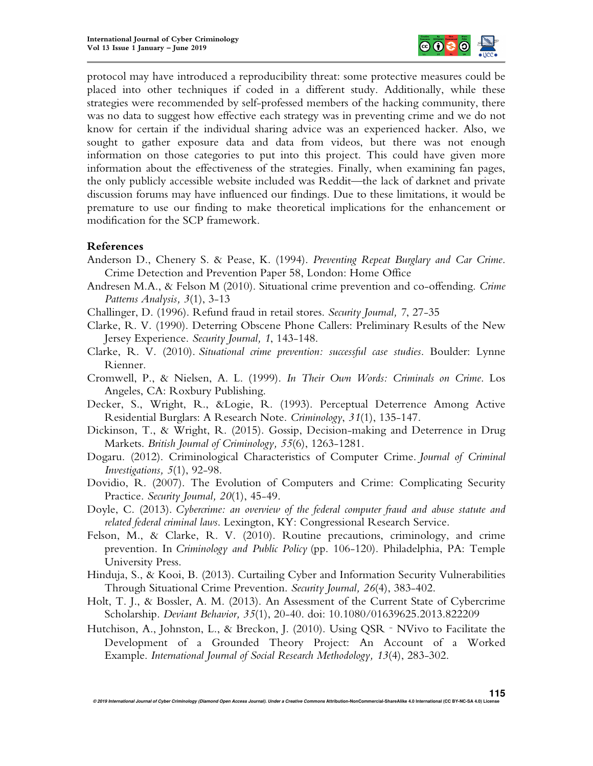

protocol may have introduced a reproducibility threat: some protective measures could be placed into other techniques if coded in a different study. Additionally, while these strategies were recommended by self-professed members of the hacking community, there was no data to suggest how effective each strategy was in preventing crime and we do not know for certain if the individual sharing advice was an experienced hacker. Also, we sought to gather exposure data and data from videos, but there was not enough information on those categories to put into this project. This could have given more information about the effectiveness of the strategies. Finally, when examining fan pages, the only publicly accessible website included was Reddit—the lack of darknet and private discussion forums may have influenced our findings. Due to these limitations, it would be premature to use our finding to make theoretical implications for the enhancement or modification for the SCP framework.

## **References**

- Anderson D., Chenery S. & Pease, K. (1994). *Preventing Repeat Burglary and Car Crime*. Crime Detection and Prevention Paper 58, London: Home Office
- Andresen M.A., & Felson M (2010). Situational crime prevention and co-offending. *Crime Patterns Analysis, 3*(1), 3-13
- Challinger, D. (1996). Refund fraud in retail stores. *Security Journal, 7*, 27-35
- Clarke, R. V. (1990). Deterring Obscene Phone Callers: Preliminary Results of the New Jersey Experience. *Security Journal, 1*, 143-148.
- Clarke, R. V. (2010). *Situational crime prevention: successful case studies*. Boulder: Lynne Rienner.
- Cromwell, P., & Nielsen, A. L. (1999). *In Their Own Words: Criminals on Crime*. Los Angeles, CA: Roxbury Publishing.
- Decker, S., Wright, R., &Logie, R. (1993). Perceptual Deterrence Among Active Residential Burglars: A Research Note. *Criminology*, *31*(1), 135-147.
- Dickinson, T., & Wright, R. (2015). Gossip, Decision-making and Deterrence in Drug Markets. *British Journal of Criminology, 55*(6), 1263-1281.
- Dogaru. (2012). Criminological Characteristics of Computer Crime. *Journal of Criminal Investigations, 5*(1), 92-98.
- Dovidio, R. (2007). The Evolution of Computers and Crime: Complicating Security Practice. *Security Journal, 20*(1), 45-49.
- Doyle, C. (2013). *Cybercrime: an overview of the federal computer fraud and abuse statute and related federal criminal laws*. Lexington, KY: Congressional Research Service.
- Felson, M., & Clarke, R. V. (2010). Routine precautions, criminology, and crime prevention. In *Criminology and Public Policy* (pp. 106-120). Philadelphia, PA: Temple University Press.
- Hinduja, S., & Kooi, B. (2013). Curtailing Cyber and Information Security Vulnerabilities Through Situational Crime Prevention. *Security Journal, 26*(4), 383-402.
- Holt, T. J., & Bossler, A. M. (2013). An Assessment of the Current State of Cybercrime Scholarship. *Deviant Behavior, 35*(1), 20-40. doi: 10.1080/01639625.2013.822209
- Hutchison, A., Johnston, L., & Breckon, J. (2010). Using QSR NVivo to Facilitate the Development of a Grounded Theory Project: An Account of a Worked Example. *International Journal of Social Research Methodology, 13*(4), 283-302.